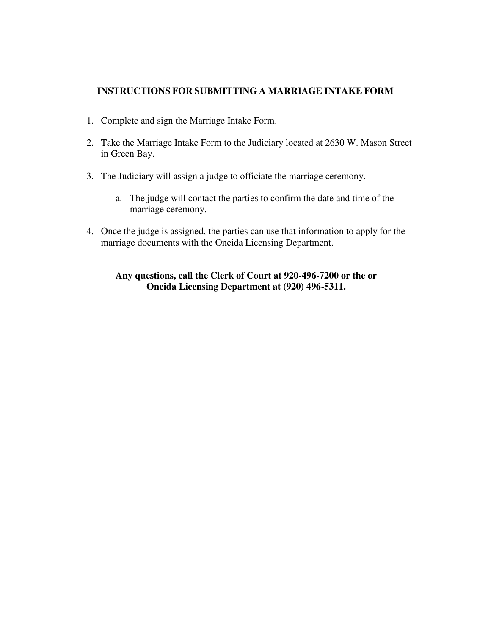## **INSTRUCTIONS FOR SUBMITTING A MARRIAGE INTAKE FORM**

- 1. Complete and sign the Marriage Intake Form.
- 2. Take the Marriage Intake Form to the Judiciary located at 2630 W. Mason Street in Green Bay.
- 3. The Judiciary will assign a judge to officiate the marriage ceremony.
	- a. The judge will contact the parties to confirm the date and time of the marriage ceremony.
- 4. Once the judge is assigned, the parties can use that information to apply for the marriage documents with the Oneida Licensing Department.

## **Any questions, call the Clerk of Court at 920-496-7200 or the or Oneida Licensing Department at (920) 496-5311.**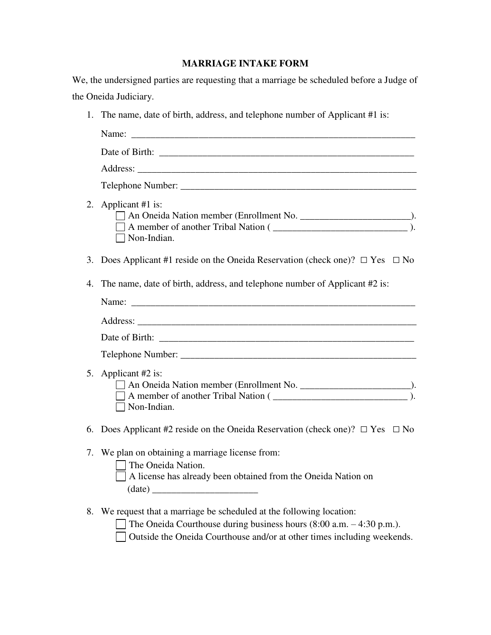## **MARRIAGE INTAKE FORM**

|    | We, the undersigned parties are requesting that a marriage be scheduled before a Judge of                                                                                                                                  |
|----|----------------------------------------------------------------------------------------------------------------------------------------------------------------------------------------------------------------------------|
|    | the Oneida Judiciary.                                                                                                                                                                                                      |
|    | 1. The name, date of birth, address, and telephone number of Applicant #1 is:                                                                                                                                              |
|    |                                                                                                                                                                                                                            |
|    |                                                                                                                                                                                                                            |
|    |                                                                                                                                                                                                                            |
|    |                                                                                                                                                                                                                            |
|    | 2. Applicant #1 is:<br>$\Box$ Non-Indian.                                                                                                                                                                                  |
|    | 3. Does Applicant #1 reside on the Oneida Reservation (check one)? $\Box$ Yes $\Box$ No                                                                                                                                    |
| 4. | The name, date of birth, address, and telephone number of Applicant #2 is:                                                                                                                                                 |
|    |                                                                                                                                                                                                                            |
|    |                                                                                                                                                                                                                            |
|    |                                                                                                                                                                                                                            |
|    |                                                                                                                                                                                                                            |
| 5. | Applicant #2 is:<br>A member of another Tribal Nation ( <u>________________________________</u> ).<br>$\Box$ Non-Indian.                                                                                                   |
|    | 6. Does Applicant #2 reside on the Oneida Reservation (check one)? $\Box$ Yes $\Box$ No                                                                                                                                    |
|    | 7. We plan on obtaining a marriage license from:<br>The Oneida Nation.<br>A license has already been obtained from the Oneida Nation on<br>$\text{(date)} \underline{\hspace{2cm}}$                                        |
|    | 8. We request that a marriage be scheduled at the following location:<br>The Oneida Courthouse during business hours $(8:00 a.m. - 4:30 p.m.).$<br>Outside the Oneida Courthouse and/or at other times including weekends. |